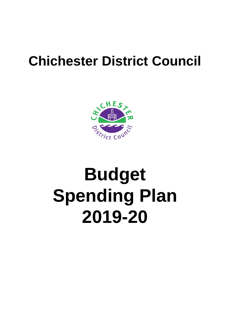## **Chichester District Council**



# **Budget 2019-20 Spending Plan**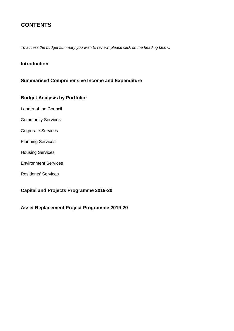## **CONTENTS**

*To access the budget summary you wish to review: please click on the heading below.*

#### **[Introduction](#page-2-0)**

#### **[Summarised Comprehensive Income and Expenditure](#page-4-0)**

#### **Budget Analysis by Portfolio:**

- [Leader of the Council](#page-13-0)
- [Community Services](#page-15-0)
- [Corporate Services](#page-18-0)
- [Planning Services](#page-21-0)
- [Housing Services](#page-23-0)
- [Environment Services](#page-24-0)
- [Residents' Services](#page-26-0)

#### **[Capital and Projects Programme 2019-20](#page-29-0)**

**[Asset Replacement Project Programme 2019-20](#page-35-0)**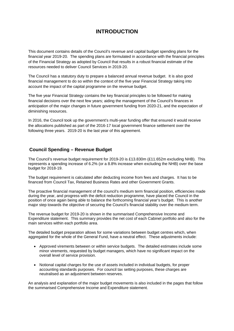## **INTRODUCTION**

<span id="page-2-0"></span>This document contains details of the Council's revenue and capital budget spending plans for the financial year 2019-20. The spending plans are formulated in accordance with the financial principles of the Financial Strategy as adopted by Council that results in a robust financial estimate of the resources needed to deliver Council Services in 2019-20.

The Council has a statutory duty to prepare a balanced annual revenue budget. It is also good financial management to do so within the context of the five year Financial Strategy taking into account the impact of the capital programme on the revenue budget.

The five year Financial Strategy contains the key financial principles to be followed for making financial decisions over the next few years; aiding the management of the Council's finances in anticipation of the major changes in future government funding from 2020-21, and the expectation of diminishing resources.

In 2016, the Council took up the government's multi-year funding offer that ensured it would receive the allocations published as part of the 2016-17 local government finance settlement over the following three years. 2019-20 is the last year of this agreement.

#### **Council Spending – Revenue Budget**

The Council's revenue budget requirement for 2019-20 is £13.830m (£11.652m excluding NHB). This represents a spending increase of 6.2% (or a 8.8% increase when excluding the NHB) over the base budget for 2018-19.

The budget requirement is calculated after deducting income from fees and charges. It has to be financed from Council Tax, Retained Business Rates and other Government Grants.

The proactive financial management of the council's medium term financial position, efficiencies made during the year, and progress with the deficit reduction programme, have placed the Council in the position of once again being able to balance the forthcoming financial year's budget. This is another major step towards the objective of securing the Council's financial stability over the medium term.

The revenue budget for 2019-20 is shown in the summarised Comprehensive Income and Expenditure statement. This summary provides the net cost of each Cabinet portfolio and also for the main services within each portfolio area.

The detailed budget preparation allows for some variations between budget centres which, when aggregated for the whole of the General Fund, have a neutral effect. These adjustments include:

- Approved virements between or within service budgets. The detailed estimates include some minor virements, requested by budget managers, which have no significant impact on the overall level of service provision.
- Notional capital charges for the use of assets included in individual budgets, for proper accounting standards purposes. For council tax setting purposes, these charges are neutralised as an adjustment between reserves.

An analysis and explanation of the major budget movements is also included in the pages that follow the summarised Comprehensive Income and Expenditure statement.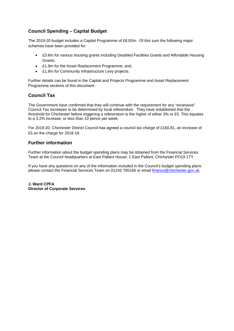#### **Council Spending – Capital Budget**

The 2019-20 budget includes a Capital Programme of £8.92m. Of this sum the following major schemes have been provided for:

- £3.6m for various housing grants including Disabled Facilities Grants and Affordable Housing Grants;
- £1.9m for the Asset Replacement Programme; and,
- £1.8m for Community Infrastructure Levy projects.

Further details can be found in the Capital and Projects Programme and Asset Replacement Programme sections of this document.

#### **Council Tax**

The Government have confirmed that they will continue with the requirement for any "excessive" Council Tax increases to be determined by local referendum. They have established that the threshold for Chichester before triggering a referendum is the higher of either 3% or £5. This equates to a 3.2% increase, or less than 10 pence per week.

For 2019-20, Chichester District Council has agreed a council tax charge of £160.81, an increase of £5 on the charge for 2018-19.

#### **Further information**

Further information about the budget spending plans may be obtained from the Financial Services Team at the Council headquarters at East Pallant House, 1 East Pallant, Chichester PO19 1TY.

If you have any questions on any of the information included in the Council's budget spending plans please contact the Financial Services Team on 01243 785166 or email [finance@chichester.gov.uk.](mailto:finance@chichester.gov.uk)

**J. Ward CPFA Director of Corporate Services**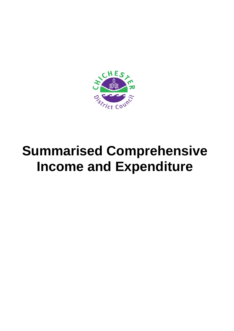<span id="page-4-0"></span>

## **Summarised Comprehensive Income and Expenditure**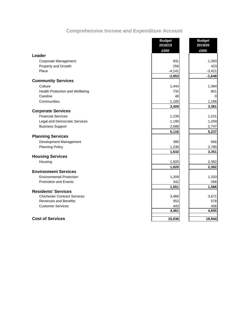## **Comprehensive Income and Expenditure Account**

|                                     | <b>Budget</b><br>2018/19 | <b>Budget</b><br>2019/20 |
|-------------------------------------|--------------------------|--------------------------|
|                                     | £000                     | £000                     |
| Leader                              |                          |                          |
| Corporate Management                | 931                      | 1,350                    |
| Property and Growth                 | 256                      | 423                      |
| Place                               | $-4,141$                 | $-3,421$                 |
|                                     | $-2,953$                 | $-1,648$                 |
| <b>Community Services</b>           |                          |                          |
| Culture                             | 1,444                    | 1,384                    |
| Health Protection and Wellbeing     | 732                      | 801                      |
| Careline                            | 48                       | $\Omega$                 |
| Communities                         | 1,185                    | 1,196                    |
|                                     | 3,409                    | 3,381                    |
| <b>Corporate Services</b>           |                          |                          |
| <b>Financial Services</b>           | 1,239                    | 1,231                    |
| Legal and Democratic Services       | 1,190                    | 1,259                    |
| <b>Business Support</b>             | 2,688                    | 2,747                    |
|                                     | 5,116                    | 5,237                    |
| <b>Planning Services</b>            |                          |                          |
| Development Management              | 395                      | 566                      |
| <b>Planning Policy</b>              | 1,236                    | 2,785                    |
|                                     | 1,632                    | 3,351                    |
| <b>Housing Services</b>             |                          |                          |
| Housing                             | 1,820                    | 2,382                    |
| <b>Environment Services</b>         | 1,820                    | 2,382                    |
|                                     |                          |                          |
| <b>Environmental Protection</b>     | 1,209                    | 1,320                    |
| <b>Promotion and Events</b>         | 342                      | 266                      |
| <b>Residents' Services</b>          | 1,551                    | 1,586                    |
| <b>Chichester Contract Services</b> | 3,466                    | 3,671                    |
| <b>Revenues and Benefits</b>        | 552                      | 578                      |
| <b>Customer Services</b>            | 443                      | 406                      |
|                                     | 4,461                    | 4,655                    |
|                                     |                          |                          |
| <b>Cost of Services</b>             | 15,036                   | 18,944                   |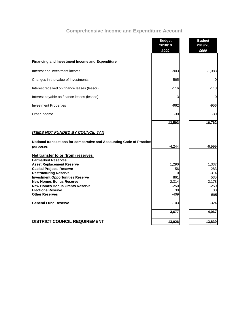## **Comprehensive Income and Expenditure Account**

|                                                                       | <b>Budget</b><br>2018/19 | <b>Budget</b><br>2019/20 |
|-----------------------------------------------------------------------|--------------------------|--------------------------|
|                                                                       | £000                     | £000                     |
|                                                                       |                          |                          |
| <b>Financing and Investment Income and Expenditure</b>                |                          |                          |
| Interest and investment income                                        | $-903$                   | $-1,083$                 |
| Changes in the value of Investments                                   | 565                      | $\mathbf 0$              |
| Interest received on finance leases (lessor)                          | $-116$                   | $-113$                   |
| Interest payable on finance leases (lessee)                           | 3                        | 0                        |
| <b>Investment Properties</b>                                          | -962                     | $-956$                   |
| Other Income                                                          | -30                      | $-30$                    |
|                                                                       | 13,593                   | 16,762                   |
| <b>ITEMS NOT FUNDED BY COUNCIL TAX</b>                                |                          |                          |
| Notional transactions for comparative and Accounting Code of Practice |                          |                          |
| purposes                                                              | $-4,244$                 | $-6,999$                 |
| Net transfer to or (from) reserves                                    |                          |                          |
| <b>Earmarked Reserves</b><br><b>Asset Replacement Reserve</b>         | 1,290                    | 1,337                    |
| <b>Capital Projects Reserve</b>                                       | -56                      | 283                      |
| <b>Restructuring Reserve</b>                                          | $\Omega$                 | $-314$                   |
| <b>Investment Opportunities Reserve</b>                               | 861                      | 533                      |
| <b>New Homes Bonus Reserve</b>                                        | 2,314                    | 2,178                    |
| <b>New Homes Bonus Grants Reserve</b>                                 | $-250$                   | $-250$                   |
| <b>Elections Reserve</b>                                              | 30                       | 30                       |
| <b>Other Reserves</b>                                                 | $-409$                   | 595                      |
| <b>General Fund Reserve</b>                                           | $-103$                   | $-324$                   |
|                                                                       | 3,677                    | 4,067                    |
| <b>DISTRICT COUNCIL REQUIREMENT</b>                                   | 13,026                   | 13,830                   |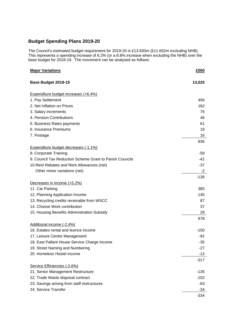#### **Budget Spending Plans 2019-20**

The Council's estimated budget requirement for 2019-20 is £13.830m (£11.652m excluding NHB). This represents a spending increase of 6.2% (or a 8.8% increase when excluding the NHB) over the base budget for 2018-19. The movement can be analysed as follows:

| <b>Major Variations</b>                                  | £000   |
|----------------------------------------------------------|--------|
| Base Budget 2018-19                                      | 13,025 |
| Expenditure budget increases (+6.4%)                     |        |
| 1. Pay Settlement                                        | 456    |
| 2. Net Inflation on Prices                               | 162    |
| 3. Salary increments                                     | 76     |
| 4. Pension Contributions                                 | 46     |
| 5. Business Rates payments                               | 61     |
| 6. Insurance Premiums                                    | 19     |
| 7. Postage                                               | 16     |
|                                                          | 836    |
| Expenditure budget decreases (-1.1%)                     |        |
| 8. Corporate Training                                    | -58    |
| 9. Council Tax Reduction Scheme Grant to Parish Councils | $-42$  |
| 10. Rent Rebates and Rent Allowances (net)               | $-37$  |
| Other minor variations (net)                             | $-2$   |
|                                                          | $-139$ |
| Decreases in income (+5.2%)                              |        |
| 11. Car Parking                                          | 385    |
| 12. Planning Application Income                          | 140    |
| 13. Recycling credits receivable from WSCC               | 87     |
| 14. Choose Work contribution                             | 37     |
| 15. Housing Benefits Administration Subsidy              | 29     |
|                                                          | 678    |
| Additional income (-2.4%)                                |        |
| 16. Estates rental and licence income                    | $-150$ |
| 17. Leisure Centre Management                            | $-92$  |
| 18. East Pallant House Service Charge Income             | $-35$  |
| 19. Street Naming and Numbering                          | $-27$  |
| 20. Homeless Hostel income                               | $-13$  |
|                                                          | $-317$ |
| Service Efficiencies (-2.6%)                             |        |
| 21. Senior Management Restructure                        | $-135$ |
| 22. Trade Waste disposal contract                        | $-102$ |
| 23. Savings arising from staff restructures              | -63    |
| 24. Service Transfer                                     | $-34$  |
|                                                          | $-334$ |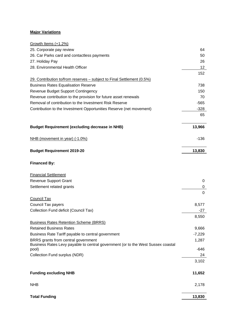#### **Major Variations**

| Growth Items (+1.2%)                                                                                                    |                     |
|-------------------------------------------------------------------------------------------------------------------------|---------------------|
| 25. Corporate pay review                                                                                                | 64                  |
| 26. Car Parks card and contactless payments                                                                             | 50                  |
| 27. Holiday Pay                                                                                                         | 26                  |
| 28. Environmental Health Officer                                                                                        | 12                  |
|                                                                                                                         | 152                 |
| 29. Contribution to/from reserves – subject to Final Settlement (0.5%)                                                  |                     |
| <b>Business Rates Equalisation Reserve</b>                                                                              | 738                 |
| Revenue Budget Support Contingency                                                                                      | 150                 |
| Revenue contribution to the provision for future asset renewals                                                         | 70                  |
| Removal of contribution to the Investment Risk Reserve                                                                  | $-565$              |
| Contribution to the Investment Opportunities Reserve (net movement)                                                     | $-328$              |
|                                                                                                                         | 65                  |
| <b>Budget Requirement (excluding decrease in NHB)</b>                                                                   | 13,966              |
| NHB (movement in year) (-1.0%)                                                                                          | $-136$              |
| <b>Budget Requirement 2019-20</b>                                                                                       | 13,830              |
| <b>Financed By:</b>                                                                                                     |                     |
| <b>Financial Settlement</b>                                                                                             |                     |
| <b>Revenue Support Grant</b>                                                                                            | 0                   |
| Settlement related grants                                                                                               | 0<br>$\overline{0}$ |
| <b>Council Tax</b>                                                                                                      |                     |
| Council Tax payers                                                                                                      | 8,577               |
| Collection Fund deficit (Council Tax)                                                                                   | $-27$               |
|                                                                                                                         | 8,550               |
| <b>Business Rates Retention Scheme (BRRS)</b>                                                                           |                     |
| <b>Retained Business Rates</b>                                                                                          | 9,666               |
| Business Rate Tariff payable to central government                                                                      | $-7,229$            |
| BRRS grants from central government<br>Business Rates Levy payable to central government (or to the West Sussex coastal | 1,287               |
| pool)                                                                                                                   | -646                |
| Collection Fund surplus (NDR)                                                                                           | 24                  |
|                                                                                                                         | 3,102               |
| <b>Funding excluding NHB</b>                                                                                            | 11,652              |
| <b>NHB</b>                                                                                                              | 2,178               |
| <b>Total Funding</b>                                                                                                    | 13,830              |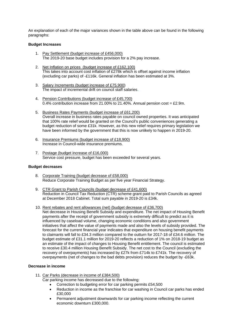An explanation of each of the major variances shown in the table above can be found in the following paragraphs:

#### **Budget Increases**

- 1. Pay Settlement (budget increase of £456,000) The 2019-20 base budget includes provision for a 2% pay increase.
- 2. Net Inflation on prices (budget increase of £162,100) This takes into account cost inflation of £278k which is offset against income inflation (excluding car parks) of -£116k. General inflation has been estimated at 3%.
- 3. Salary Increments (budget increase of £75,900) The impact of incremental drift on council staff salaries.
- 4. Pension Contributions (budget increase of £45,700) 0.4% contribution increase from 21.00% to 21.40%. Annual pension cost = £2.9m.
- 5. Business Rates Payments (budget increase of £61,200) Overall increase in business rates payable on council owned properties. It was anticipated that 100% rate relief would be granted on the Council's public conveniences generating a budget reduction of some £31k. However, as this new relief requires primary legislation we have been informed by the government that this is now unlikely to happen in 2019-20.
- 6. Insurance Premiums (budget increase of £18,900) Increase in Council-wide insurance premiums.
- 7. Postage (budget increase of £16,000) Service cost pressure, budget has been exceeded for several years.

#### **Budget decreases**

- 8. Corporate Training (budget decrease of £58,000) Reduce Corporate Training Budget as per five year Financial Strategy.
- 9. CTR Grant to Parish Councils (budget decrease of £41,600) Reduction in Council Tax Reduction (CTR) scheme grant paid to Parish Councils as agreed at December 2018 Cabinet. Total sum payable in 2019-20 is £34k.
- 10. Rent rebates and rent allowances (net) (budget decrease of £36,700)

Net decrease in Housing Benefit Subsidy and expenditure. The net impact of Housing Benefit payments after the receipt of government subsidy is extremely difficult to predict as it is influenced by caseload volume, changing economic conditions and also government initiatives that affect the value of payments made and also the levels of subsidy provided. The forecast for the current financial year indicates that expenditure on housing benefit payments to claimants will fall to £34.3 million compared to the outturn for 2017-18 of £34.6 million. The budget estimate of £31.1 million for 2019-20 reflects a reduction of 1% on 2018-19 budget as an estimate of the impact of changes to Housing Benefit entitlement. The council is estimated to receive £30.4 million Housing Benefit Subsidy. The net cost to the Council (excluding the recovery of overpayments) has increased by £27k from £714k to £741k. The recovery of overpayments (net of changes to the bad debts provision) reduces the budget by -£63k.

#### **Decrease in income**

- 11. Car Parks (decrease in income of £384,500)
	- Car parking income has decreased due to the following:
		- Correction to budgeting error for car parking permits £54,500
		- Reduction in income as the franchise for car washing in Council car parks has ended £30,000
		- Permanent adjustment downwards for car parking income reflecting the current economic downturn £300,000.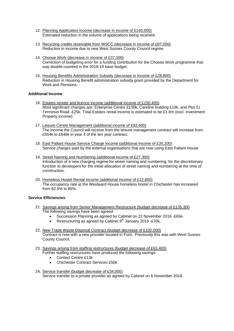- 12. Planning Application Income (decrease in income of £140,000) Estimated reduction in the volume of applications being received.
- 13. Recycling credits receivable from WSCC (decrease in income of £87,000) Reduction in income due to new West Sussex County Council regime.
- 14. Choose Work (decrease in income of £37,000) Correction of budgeting error for a funding contribution for the Choose Work programme that was double-counted in the 2018-19 base budget.
- 15. Housing Benefits Administration Subsidy (decrease in income of £28,800) Reduction in Housing Benefit administration subsidy grant provided by the Department for Work and Pensions.

#### **Additional Income**

- 16. Estates rentals and licence income (additional income of £150,400) Most significant changes are: Enterprise Centre £130k, Careline building £19k, and Plot 21 Terminus Road -£25k. Total Estates rental income is estimated to be £1.8m (excl. Investment Property income).
- 17. Leisure Centre Management (additional income of £92,400) The income the Council will receive from the leisure management contract will increase from £554k to £646k in year 4 of the ten year contract.
- 18. East Pallant House Service Charge Income (additional income of £35,200) Service charges paid by the external organisations that are now using East Pallant House
- 19. Street Naming and Numbering (additional income of £27,300) Introduction of a new charging regime for street naming and numbering, for the discretionary function to developers for the initial allocation of street naming and numbering at the time of construction.
- 20. Homeless Hostel Rental Income (additional income of £12,600) The occupancy rate at the Westward House homeless hostel in Chichester has increased from 82.5% to 85%.

#### **Service Efficiencies**

- 21. Savings arising from Senior Management Restructure (budget decrease of £135,300 The following savings have been agreed:
	- Succession Planning as agreed by Cabinet on 22 November 2016 -£65k.
	- Restructuring as agreed by Cabinet  $8<sup>th</sup>$  January 2019 -£70k.
- 22. New Trade Waste Disposal Contract (budget decrease of £102,000) Contract is now with a new provider located in Ford. Previously this was with West Sussex County Council.
- 23. Savings arising from staffing restructures (budget decrease of £63,400) Further staffing restructures have produced the following savings:
	- Contact Centre £13k
	- Chichester Contract Services £50k
- 24. Service transfer (budget decrease of £34,000) Service transfer to a private provider as agreed by Cabinet on 6 November 2018.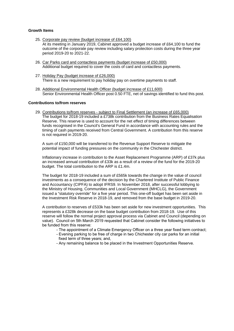#### **Growth Items**

- 25. Corporate pay review (budget increase of £64,100) At its meeting in January 2019, Cabinet approved a budget increase of £64,100 to fund the outcome of the corporate pay review including salary protection costs during the three year period 2019-20 to 2021-22.
- 26. Car Parks card and contactless payments (budget increase of £50,000) Additional budget required to cover the costs of card and contactless payments.
- 27. Holiday Pay (budget increase of £26,000) There is a new requirement to pay holiday pay on overtime payments to staff.
- 28. Additional Environmental Health Officer (budget increase of £11,600) Senior Environmental Health Officer post 0.50 FTE, net of savings identified to fund this post.

#### **Contributions to/from reserves**

29. Contributions to/from reserves - subject to Final Settlement (an increase of £65,000) The budget for 2018-19 included a £738k contribution from the Business Rates Equalisation Reserve. This reserve is used to account for the net effect of timing differences between funds recognised in the Council's General Fund in accordance with accounting rules and the timing of cash payments received from Central Government. A contribution from this reserve is not required in 2019-20.

A sum of £150,000 will be transferred to the Revenue Support Reserve to mitigate the potential impact of funding pressures on the community in the Chichester district.

Inflationary increase in contribution to the Asset Replacement Programme (ARP) of £37k plus an increased annual contribution of £33k as a result of a review of the fund for the 2019-20 budget. The total contribution to the ARP is £1.4m.

The budget for 2018-19 included a sum of £565k towards the change in the value of council investments as a consequence of the decision by the Chartered Institute of Public Finance and Accountancy (CIPFA) to adopt IFRS9. In November 2018, after successful lobbying to the Ministry of Housing, Communities and Local Government (MHCLG), the Government issued a "statutory override" for a five year period. This one-off budget has been set aside in the Investment Risk Reserve in 2018-19, and removed from the base budget in 2019-20.

A contribution to reserves of £533k has been set aside for new investment opportunities. This represents a £328k decrease on the base budget contribution from 2018-19. Use of this reserve will follow the normal project approval process via Cabinet and Council (depending on value). Council on 5th March 2019 requested that Cabinet consider the following initiatives to be funded from this reserve:

- The appointment of a Climate Emergency Officer on a three year fixed term contract;
- Evening parking to be free of charge in two Chichester city car parks for an initial fixed term of three years; and,
- Any remaining balance to be placed in the Investment Opportunities Reserve.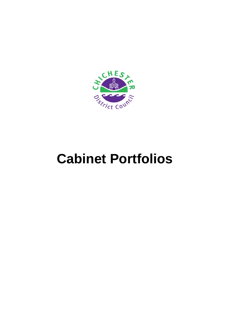

## **Cabinet Portfolios**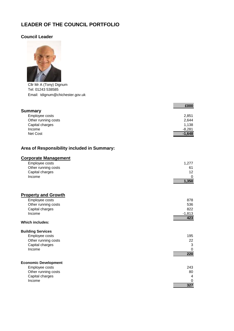## <span id="page-13-0"></span>**LEADER OF THE COUNCIL PORTFOLIO**

#### **Council Leader**



Cllr Mr A (Tony) Dignum Tel: 01243 538585 Email: tdignum@chichester.gov.uk

|                     | £000     |
|---------------------|----------|
| <b>Summary</b>      |          |
| Employee costs      | 2,851    |
| Other running costs | 2,644    |
| Capital charges     | 1,138    |
| Income              | $-8,281$ |
| Net Cost            | $-1,648$ |

#### **Area of Responsibility included in Summary:**

#### **Corporate Management**

| Employee costs      | 1.277 |
|---------------------|-------|
| Other running costs | 61    |
| Capital charges     | 12    |
| Income              |       |
|                     | 1,350 |

| <b>Property and Growth</b>  |          |
|-----------------------------|----------|
| Employee costs              | 878      |
| Other running costs         | 536      |
| Capital charges             | 822      |
| Income                      | $-1,813$ |
|                             | 423      |
| <b>Which includes:</b>      |          |
| <b>Building Services</b>    |          |
| Employee costs              | 195      |
| Other running costs         | 22       |
| Capital charges             | 3        |
| Income                      | 0        |
|                             | 220      |
| <b>Economic Development</b> |          |
| Employee costs              | 243      |
| Other running costs         | 80       |
| Capital charges             | 4        |
| Income                      | 0        |
|                             | 327      |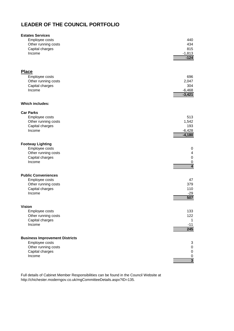## **LEADER OF THE COUNCIL PORTFOLIO**

| <b>Estates Services</b>               |                         |
|---------------------------------------|-------------------------|
| Employee costs                        | 440                     |
| Other running costs                   | 434                     |
| Capital charges                       | 815                     |
| Income                                | $-1,813$                |
|                                       | $-124$                  |
|                                       |                         |
| <b>Place</b>                          |                         |
|                                       |                         |
| Employee costs                        | 696                     |
| Other running costs                   | 2,047                   |
| Capital charges                       | 304                     |
| Income                                | $-6,468$                |
|                                       | $-3,421$                |
| <b>Which includes:</b>                |                         |
| <b>Car Parks</b>                      |                         |
| Employee costs                        | 513                     |
| Other running costs                   | 1,542                   |
| Capital charges                       | 193                     |
| Income                                | $-6,428$                |
|                                       | $-4,180$                |
| <b>Footway Lighting</b>               |                         |
| Employee costs                        | 0                       |
| Other running costs                   | $\overline{\mathbf{4}}$ |
| Capital charges                       | $\pmb{0}$               |
| Income                                | $\pmb{0}$               |
|                                       | $\overline{4}$          |
| <b>Public Conveniences</b>            |                         |
|                                       | 47                      |
| Employee costs                        |                         |
| Other running costs                   | 379                     |
| Capital charges                       | 110                     |
| Income                                | $-29$<br>507            |
|                                       |                         |
| <b>Vision</b>                         |                         |
| Employee costs                        | 133                     |
| Other running costs                   | 122                     |
| Capital charges                       | 1                       |
| Income                                | $-11$                   |
|                                       | 245                     |
| <b>Business Improvement Districts</b> |                         |
| Employee costs                        | 3                       |
| Other running costs                   | $\pmb{0}$               |
| Capital charges                       | $\pmb{0}$               |
| Income                                | $\pmb{0}$               |
|                                       | $\overline{\mathbf{3}}$ |

Full details of Cabinet Member Responsibilities can be found in the Council Website at http://chichester.moderngov.co.uk/mgCommitteeDetails.aspx?ID=135.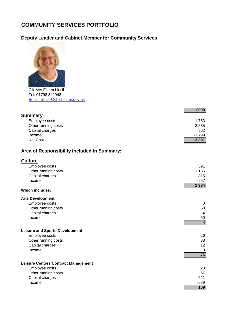## <span id="page-15-0"></span>**COMMUNITY SERVICES PORTFOLIO**

## **Deputy Leader and Cabinet Member for Community Services**



Cllr Mrs Eileen Lintill Tel: 01798 342948 Email: elintill@chichester.gov.uk

|                     | £000     |
|---------------------|----------|
| <b>Summary</b>      |          |
| Employee costs      | 1,783    |
| Other running costs | 2,535    |
| Capital charges     | 862      |
| Income              | $-1,799$ |
| Net Cost            | 3,381    |

## **Area of Responsibility included in Summary:**

| <b>Culture</b>                             |                |
|--------------------------------------------|----------------|
| Employee costs                             | 391            |
| Other running costs                        | 1,135          |
| Capital charges                            | 815            |
| Income                                     | $-957$         |
| <b>Which includes:</b>                     | 1,384          |
|                                            |                |
| <b>Arts Development</b>                    |                |
| Employee costs                             | 0              |
| Other running costs                        | 50             |
| Capital charges                            | 4              |
| Income                                     | $-50$          |
|                                            | $\overline{4}$ |
| <b>Leisure and Sports Development</b>      |                |
| Employee costs                             | 26             |
| Other running costs                        | 38             |
| Capital charges                            | 12             |
| Income                                     | 0              |
|                                            | 76             |
| <b>Leisure Centres Contract Management</b> |                |
| Employee costs                             | 20             |
| Other running costs                        | 57             |
| Capital charges                            | 621            |
| Income                                     | $-589$         |
|                                            | 109            |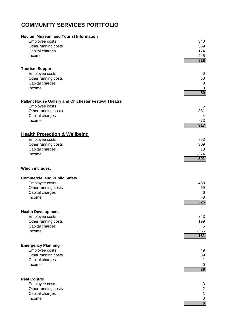## **COMMUNITY SERVICES PORTFOLIO**

| <b>Novium Museum and Tourist Information</b>          | 340              |
|-------------------------------------------------------|------------------|
| Employee costs                                        | 559              |
| Other running costs                                   | 174              |
| Capital charges                                       | $-245$           |
| Income                                                | 828              |
| <b>Tourism Support</b>                                | 0                |
| Employee costs                                        | 50               |
| Other running costs                                   | 0                |
| Capital charges                                       | 0                |
| Income                                                | 50               |
| Pallant House Gallery and Chichester Festival Theatre | 5                |
| Employee costs                                        | 381              |
| Other running costs                                   | 4                |
| Capital charges                                       | $-73$            |
| Income                                                | 317              |
| <b>Health Protection &amp; Wellbeing</b>              | 853              |
| Employee costs                                        | 309              |
| Other running costs                                   | 13               |
| Capital charges                                       | $-374$           |
| Income                                                | 801              |
| <b>Which includes:</b>                                |                  |
| <b>Commercial and Public Safety</b>                   | 458              |
| Employee costs                                        | 69               |
| Other running costs                                   | $6\phantom{1}6$  |
| Capital charges                                       | -8               |
| Income                                                | 525              |
| <b>Health Development</b>                             | 343              |
| Employee costs                                        | 199              |
| Other running costs                                   | 5                |
| Capital charges                                       | $-366$           |
| Income                                                | 181              |
| <b>Emergency Planning</b>                             | 49               |
| Employee costs                                        | 39               |
| Other running costs                                   | 1                |
| Capital charges                                       | $\mathbf 0$      |
| Income                                                | 89               |
| <b>Pest Control</b>                                   | 3                |
| Employee costs                                        | $\overline{c}$   |
| Other running costs                                   | $\mathbf 1$      |
| Capital charges                                       | $\pmb{0}$        |
| Income                                                | $6 \overline{6}$ |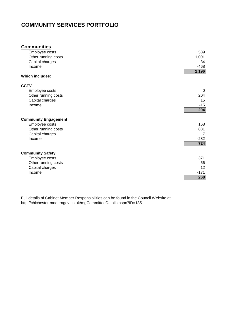## **COMMUNITY SERVICES PORTFOLIO**

| <b>Communities</b>          |        |
|-----------------------------|--------|
| Employee costs              | 539    |
| Other running costs         | 1,091  |
| Capital charges             | 34     |
| Income                      | $-468$ |
|                             | 1,196  |
| <b>Which includes:</b>      |        |
| <b>CCTV</b>                 |        |
| Employee costs              | 0      |
| Other running costs         | 204    |
| Capital charges             | 15     |
| Income                      | $-15$  |
|                             | 204    |
| <b>Community Engagement</b> |        |
| Employee costs              | 168    |
| Other running costs         | 831    |
| Capital charges             | 7      |
| Income                      | $-282$ |
|                             | 724    |
|                             |        |
| <b>Community Safety</b>     |        |
| Employee costs              | 371    |
| Other running costs         | 56     |
| Capital charges             | 12     |
| Income                      | $-171$ |
|                             | 268    |

Full details of Cabinet Member Responsibilities can be found in the Council Website at http://chichester.moderngov.co.uk/mgCommitteeDetails.aspx?ID=135.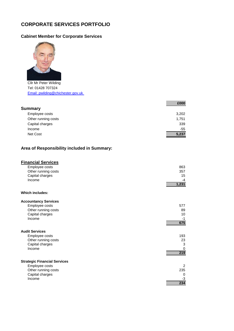## <span id="page-18-0"></span>**CORPORATE SERVICES PORTFOLIO**

## **Cabinet Member for Corporate Services**



Cllr Mr Peter Wilding Tel: 01428 707324 Email: pwilding@chichester.gov.uk

|                     | £000  |
|---------------------|-------|
| <b>Summary</b>      |       |
| Employee costs      | 3,202 |
| Other running costs | 1,751 |
| Capital charges     | 339   |
| Income              | $-55$ |
| Net Cost            | 5,237 |

#### **Area of Responsibility included in Summary:**

#### **Financial Services**

| Employee costs      | 863   |
|---------------------|-------|
| Other running costs | 357   |
| Capital charges     | 15    |
| Income              | -4    |
|                     | 1,231 |

#### **Which includes:**

| <b>Accountancy Services</b>         |     |
|-------------------------------------|-----|
| Employee costs                      | 577 |
| Other running costs                 | 89  |
| Capital charges                     | 10  |
| Income                              | -1  |
|                                     | 675 |
| <b>Audit Services</b>               |     |
| Employee costs                      | 193 |
| Other running costs                 | 23  |
| Capital charges                     | 3   |
| Income                              | 0   |
|                                     | 219 |
|                                     |     |
| <b>Strategic Financial Services</b> |     |
| Employee costs                      | 2   |
| Other running costs                 | 235 |
| Capital charges                     | 0   |
| Income                              | -3  |
|                                     | 234 |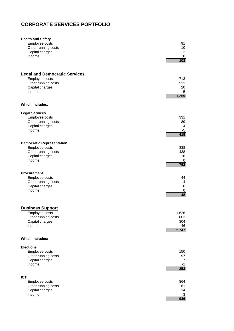## **CORPORATE SERVICES PORTFOLIO**

| <b>Health and Safety</b>             | 91             |
|--------------------------------------|----------------|
| Employee costs                       | 10             |
| Other running costs                  | $\overline{2}$ |
| Capital charges                      | $\pmb{0}$      |
| Income                               | 103            |
| <b>Legal and Democratic Services</b> | 713            |
| Employee costs                       | 531            |
| Other running costs                  | 20             |
| Capital charges                      | -5             |
| Income                               | 1,259          |
| <b>Which includes:</b>               |                |
| <b>Legal Services</b>                | 331            |
| Employee costs                       | 89             |
| Other running costs                  | 4              |
| Capital charges                      | -5             |
| Income                               | 419            |
| <b>Democratic Representation</b>     | 338            |
| Employee costs                       | 438            |
| Other running costs                  | 16             |
| Capital charges                      | 0              |
| Income                               | 792            |
| <b>Procurement</b>                   | 44             |
| Employee costs                       | $\overline{4}$ |
| Other running costs                  | $\mathbf 0$    |
| Capital charges                      | 0              |
| Income                               | 48             |
| <b>Business Support</b>              | 1,626          |
| Employee costs                       | 863            |
| Other running costs                  | 304            |
| Capital charges                      | -46            |
| Income                               | 2,747          |
| <b>Which includes:</b>               |                |
| <b>Elections</b>                     | 150            |
| Employee costs                       | 97             |
| Other running costs                  | 7              |
| Capital charges                      | -1             |
| Income                               | 253            |
| <b>ICT</b>                           | 864            |
| Employee costs                       | 61             |
| Other running costs                  | 14             |
| Capital charges                      | $-3$           |
| Income                               | 936            |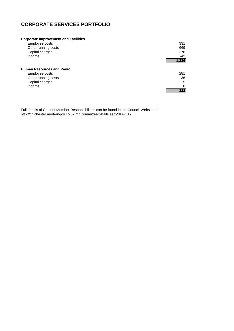## **CORPORATE SERVICES PORTFOLIO**

#### **Corporate Improvement and Facilities**

| Employee costs                     | 331      |
|------------------------------------|----------|
| Other running costs                | 669      |
| Capital charges                    | 278      |
| Income                             | $-42$    |
|                                    | 1,236    |
| <b>Human Resources and Payroll</b> |          |
| Employee costs                     | 281      |
| Other running costs                | 36       |
| Capital charges                    | 5        |
| Income                             | $\Omega$ |
|                                    | 322      |

Full details of Cabinet Member Responsibilities can be found in the Council Website at http://chichester.moderngov.co.uk/mgCommitteeDetails.aspx?ID=135.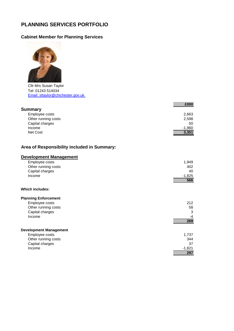## <span id="page-21-0"></span>**PLANNING SERVICES PORTFOLIO**

#### **Cabinet Member for Planning Services**



Cllr Mrs Susan Taylor Tel: 01243 514034 Email: sttaylor@chichester.gov.uk

|                     | £000     |
|---------------------|----------|
| <b>Summary</b>      |          |
| Employee costs      | 2,663    |
| Other running costs | 2,598    |
| Capital charges     | 50       |
| Income              | $-1,960$ |
| Net Cost            | 3,351    |

#### **Area of Responsibility included in Summary:**

| <b>Development Management</b> |          |
|-------------------------------|----------|
| Employee costs                | 1,949    |
| Other running costs           | 402      |
| Capital charges               | 40       |
| Income                        | $-1,825$ |
|                               | 566      |
| Which includes:               |          |
| <b>Planning Enforcement</b>   |          |
| Employee costs                | 212      |
| Other running costs           | 58       |
| Capital charges               | 3        |
| Income                        | -4       |
|                               | 269      |
| <b>Development Management</b> |          |

| Employee costs      | 1.737    |
|---------------------|----------|
| Other running costs | 344      |
| Capital charges     | 37       |
| Income              | $-1.821$ |
|                     | 297      |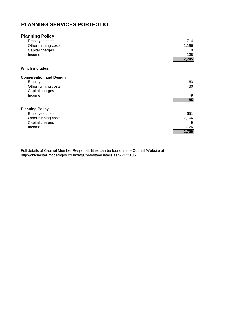## **PLANNING SERVICES PORTFOLIO**

| <b>Planning Policy</b>         |        |
|--------------------------------|--------|
| Employee costs                 | 714    |
| Other running costs            | 2,196  |
| Capital charges                | 10     |
| Income                         | $-135$ |
|                                | 2,785  |
| <b>Which includes:</b>         |        |
| <b>Conservation and Design</b> |        |
| Employee costs                 | 63     |
| Other running costs            | 30     |
| Capital charges                |        |
| Income                         | -9     |
|                                | 85     |
| <b>Planning Policy</b>         |        |
| Employee costs                 | 651    |
| Other running costs            | 2,166  |
| Capital charges                | 9      |
| Income                         | $-126$ |
|                                |        |
|                                | 2,700  |

Full details of Cabinet Member Responsibilities can be found in the Council Website at http://chichester.moderngov.co.uk/mgCommitteeDetails.aspx?ID=135.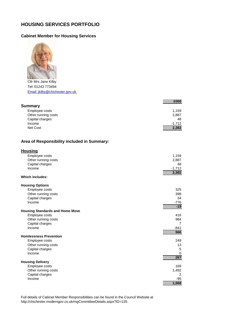### <span id="page-23-0"></span>**HOUSING SERVICES PORTFOLIO**

#### **Cabinet Member for Housing Services**



Cllr Mrs Jane Kilby Tel: 01243 773494 Email: jkilby@chichester.gov.uk

|                                             | £000            |
|---------------------------------------------|-----------------|
| <b>Summary</b>                              |                 |
| Employee costs                              | 1,159           |
| Other running costs                         | 2,887           |
| Capital charges                             | 48              |
| Income                                      | $-1,712$        |
| Net Cost                                    | 2,382           |
| Area of Responsibility included in Summary: |                 |
| <b>Housing</b>                              |                 |
| Employee costs                              | 1,159           |
| Other running costs                         | 2,887           |
| Capital charges                             | 48              |
| Income                                      | $-1,712$        |
| <b>Which includes:</b>                      | 2,382           |
| <b>Housing Options</b>                      |                 |
| Employee costs                              | 325             |
| Other running costs                         | 398             |
| Capital charges                             | 34              |
| Income                                      | $-776$<br>$-19$ |
| <b>Housing Standards and Home Move</b>      |                 |
| Employee costs                              | 416             |
| Other running costs                         | 984             |
| Capital charges                             | $\overline{7}$  |
| Income                                      | $-841$          |
| <b>Homlessness Prevention</b>               | 566             |
| Employee costs                              | 249             |
| Other running costs                         | 13              |
| Capital charges                             | 5               |
| Income                                      | 0               |
|                                             | 267             |
| <b>Housing Delivery</b>                     |                 |
| Employee costs                              | 169             |
| Other running costs                         | 1,492           |
| Capital charges                             | 2               |
| Income                                      | $-95$           |
|                                             | 1,568           |

Full details of Cabinet Member Responsibilities can be found in the Council Website at http://chichester.moderngov.co.uk/mgCommitteeDetails.aspx?ID=135.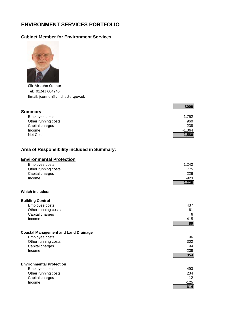## <span id="page-24-0"></span>**ENVIRONMENT SERVICES PORTFOLIO**

#### **Cabinet Member for Environment Services**



Cllr Mr John Connor Tel: 01243 604243 Email: jconnor@chichester.gov.uk

| £000     |
|----------|
|          |
| 1,752    |
| 960      |
| 238      |
| $-1,364$ |
| 1,586    |
|          |

#### **Area of Responsibility included in Summary:**

| <b>Environmental Protection</b>             |        |
|---------------------------------------------|--------|
| Employee costs                              | 1,242  |
| Other running costs                         | 775    |
| Capital charges                             | 226    |
| Income                                      | $-923$ |
|                                             | 1,320  |
| Which includes:                             |        |
| <b>Building Control</b>                     |        |
| Employee costs                              | 437    |
| Other running costs                         | 61     |
| Capital charges                             | 6      |
| Income                                      | $-415$ |
|                                             | 89     |
| <b>Coastal Management and Land Drainage</b> |        |
| Employee costs                              | 96     |
| Other running costs                         | 302    |
| Capital charges                             | 194    |
| Income                                      | $-238$ |
|                                             | 354    |
| <b>Environmental Protection</b>             |        |
| Employee costs                              | 493    |
| Other running costs                         | 234    |
| Capital charges                             | 12     |
| Income                                      | $-125$ |
|                                             | 614    |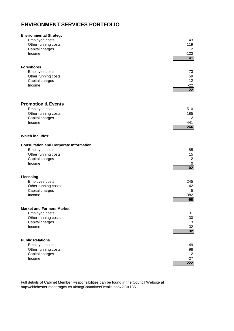## **ENVIRONMENT SERVICES PORTFOLIO**

| <b>Environmental Strategy</b>                 | 143              |
|-----------------------------------------------|------------------|
| Employee costs                                | 119              |
| Other running costs                           | $\overline{2}$   |
| Capital charges                               | $-123$           |
| Income                                        | $\overline{141}$ |
| <b>Foreshores</b>                             | 73               |
| Employee costs                                | 59               |
| Other running costs                           | 12               |
| Capital charges                               | $-22$            |
| Income                                        | 122              |
| <b>Promotion &amp; Events</b>                 | 510              |
| Employee costs                                | 185              |
| Other running costs                           | 12               |
| Capital charges                               | -441             |
| Income                                        | 266              |
| <b>Which includes:</b>                        |                  |
| <b>Consultation and Corporate Information</b> | 85               |
| Employee costs                                | 15               |
| Other running costs                           | 2                |
| Capital charges                               | 0                |
| Income                                        | $\overline{102}$ |
| Licensing                                     | 245              |
| Employee costs                                | 42               |
| Other running costs                           | 5                |
| Capital charges                               | $-382$           |
| Income                                        | $-90$            |
| <b>Market and Farmers Market</b>              | 31               |
| Employee costs                                | $30\,$           |
| Other running costs                           | 3                |
| Capital charges                               | $-32$            |
| Income                                        | 32               |
| <b>Public Relations</b>                       | 149              |
| Employee costs                                | 98               |
| Other running costs                           | $\overline{2}$   |
| Capital charges                               | $-27$            |
| Income                                        | 222              |

Full details of Cabinet Member Responsibilities can be found in the Council Website at http://chichester.moderngov.co.uk/mgCommitteeDetails.aspx?ID=135.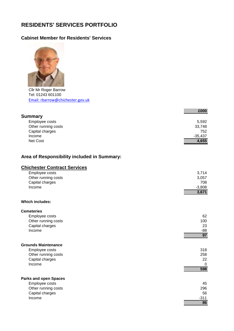## <span id="page-26-0"></span>**RESIDENTS' SERVICES PORTFOLIO**

### **Cabinet Member for Residents' Services**



Cllr Mr Roger Barrow Tel: 01243 601100 Email: rbarrow@chichester.gov.uk

|                     | £000      |
|---------------------|-----------|
| <b>Summary</b>      |           |
| Employee costs      | 5,592     |
| Other running costs | 33,748    |
| Capital charges     | 752       |
| Income              | $-35,437$ |
| Net Cost            | 4,655     |

#### **Area of Responsibility included in Summary:**

## **Chichester Contract Services**

| Employee costs<br>Other running costs | 3,714<br>3,057 |
|---------------------------------------|----------------|
| Capital charges                       | 708            |
| Income                                | $-3,808$       |
|                                       | 3,671          |
| Which includes:                       |                |
| <b>Cemeteries</b>                     |                |
| Employee costs                        | 62             |
| Other running costs                   | 100            |
| Capital charges                       | 23             |
| Income                                | -88            |
|                                       | 97             |
| <b>Grounds Maintenance</b>            |                |
| Employee costs                        | 318            |
| Other running costs                   | 258            |
| Capital charges                       | 22             |
| Income                                | $\Omega$       |
|                                       | 598            |
| <b>Parks and open Spaces</b>          |                |
| Employee costs                        | 45             |
| Other running costs                   | 296            |
| Capital charges                       | 56             |
| Income                                | $-311$         |
|                                       | 86             |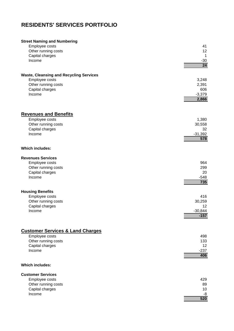## **RESIDENTS' SERVICES PORTFOLIO**

| <b>Street Naming and Numbering</b>             | 41              |
|------------------------------------------------|-----------------|
| Employee costs                                 | 12              |
| Other running costs                            | -1              |
| Capital charges                                | $-30$           |
| Income                                         | $\overline{24}$ |
| <b>Waste, Cleansing and Recycling Services</b> | 3,248           |
| Employee costs                                 | 2,391           |
| Other running costs                            | 606             |
| Capital charges                                | $-3,379$        |
| Income                                         | 2,866           |
| <b>Revenues and Benefits</b>                   | 1,380           |
| Employee costs                                 | 30,558          |
| Other running costs                            | 32              |
| Capital charges                                | $-31,392$       |
| Income                                         | 578             |
| <b>Which includes:</b>                         |                 |
| <b>Revenues Services</b>                       | 964             |
| Employee costs                                 | 299             |
| Other running costs                            | 20              |
| Capital charges                                | $-548$          |
| Income                                         | 735             |
| <b>Housing Benefits</b>                        | 416             |
| Employee costs                                 | 30,259          |
| Other running costs                            | 12              |
| Capital charges                                | $-30,844$       |
| Income                                         | $-157$          |
| <b>Customer Services &amp; Land Charges</b>    | 498             |
| Employee costs                                 | 133             |
| Other running costs                            | 12              |
| Capital charges                                | $-237$          |
| Income                                         | 406             |
| <b>Which includes:</b>                         |                 |
| <b>Customer Services</b>                       | 429             |
| Employee costs                                 | 89              |
| Other running costs                            | 10              |
| Capital charges                                | -8              |
| Income                                         | 520             |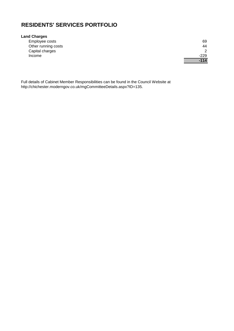## **RESIDENTS' SERVICES PORTFOLIO**

#### **Land Charges**

| Employee costs      | 69            |
|---------------------|---------------|
| Other running costs | 44            |
| Capital charges     | $\mathcal{P}$ |
| Income              | -229          |
|                     | $-114$        |

Full details of Cabinet Member Responsibilities can be found in the Council Website at http://chichester.moderngov.co.uk/mgCommitteeDetails.aspx?ID=135.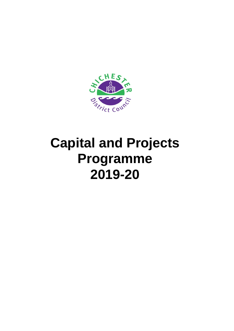<span id="page-29-0"></span>

## **Capital and Projects Programme 2019-20**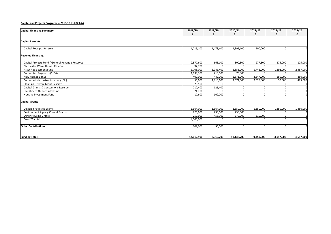#### **Capital and Projects Programme 2018-19 to 2023-24**

| <b>Capital Financing Summary</b>                 | 2018/19    | 2019/20   | 2020/21    | 2021/22   | 2022/23   | 2023/24   |
|--------------------------------------------------|------------|-----------|------------|-----------|-----------|-----------|
|                                                  |            |           | f          | f         | f         |           |
|                                                  |            |           |            |           |           |           |
| <b>Capital Receipts</b>                          |            |           |            |           |           |           |
|                                                  |            |           |            |           |           |           |
| Capital Receipts Reserve                         | 1,215,100  | 1,478,400 | 1,395,100  | 500,000   |           |           |
|                                                  |            |           |            |           |           |           |
| <b>Revenue Financing</b>                         |            |           |            |           |           |           |
|                                                  |            |           |            |           |           |           |
| Capital Projects Fund / General Revenue Reserves | 2,577,600  | 663,100   | 300,300    | 277,500   | 175,000   | 175,000   |
| <b>Chichester Warm Homes Reserve</b>             | 92,700     |           |            |           |           |           |
| Asset Replacement Fund                           | 1,705,000  | 1,941,400 | 1,855,000  | 1,741,000 | 1,192,000 | 2,487,000 |
| Commuted Payments (S106)                         | 1,138,300  | 210,000   | 76,300     |           |           |           |
| New Homes Bonus                                  | 407,000    | 442,000   | 2,871,000  | 2,647,000 | 250,000   | 250,000   |
| Community Infrastructure Levy (CIL)              | 50,000     | 1,810,000 | 2,671,000  | 2,525,000 | 50,000    | 425,000   |
| Planning Delivery Grant Reserve                  | 25,500     |           |            |           |           |           |
| Capital Grants & Concessions Reserve             | 217,400    | 126,400   |            |           |           |           |
| Investment Opportunity Fund                      | 24,700     |           |            |           |           |           |
| Housing Investment Fund                          | 17,600     | 102,000   |            |           |           |           |
| <b>Capital Grants</b>                            |            |           |            |           |           |           |
|                                                  |            |           |            |           |           |           |
| <b>Disabled Facilities Grants</b>                | 1,364,000  | 1,364,000 | 1,350,000  | 1,350,000 | 1,350,000 | 1,350,000 |
| <b>Environment Agency Coastal Grants</b>         | 220,000    | 230,000   | 250,000    |           |           |           |
| <b>Other Housing Grants</b>                      | 250,000    | 455,900   | 370,000    | 310,000   |           |           |
| Coast2Capital                                    | 4,500,000  |           |            |           |           |           |
|                                                  |            |           |            |           |           |           |
| <b>Other Contributions</b>                       | 208,000    | 96,000    |            |           |           |           |
|                                                  |            |           |            |           |           |           |
| <b>Funding Totals</b>                            | 14,012,900 | 8,919,200 | 11,138,700 | 9,350,500 | 3,017,000 | 4,687,000 |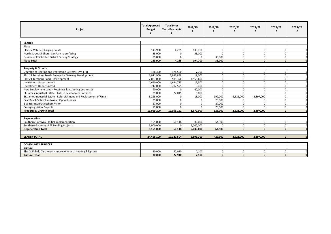| Project                                                              | <b>Total Approved</b><br><b>Budget</b><br>£ | <b>Total Prior</b><br><b>Years Payments</b><br>£ | 2018/19<br>£ | 2019/20  | 2020/21<br>£ | 2021/22<br>£ | 2022/23<br>£ | 2023/24  |
|----------------------------------------------------------------------|---------------------------------------------|--------------------------------------------------|--------------|----------|--------------|--------------|--------------|----------|
|                                                                      |                                             |                                                  |              |          |              |              |              |          |
| <b>LEADER</b>                                                        |                                             |                                                  |              |          |              |              |              |          |
| Place                                                                |                                             |                                                  |              |          |              |              |              |          |
| <b>Electric Vehicle Charging Points</b>                              | 143,900                                     | 4,235                                            | 139,700      | $\Omega$ |              |              |              |          |
| North Street Midhurst Car Park re-surfacing                          | 55,000                                      |                                                  | 55,000       |          | $\Omega$     | O            |              |          |
| Review of Chichester District Parking Strategy                       | 35,000                                      |                                                  |              | 35,000   | $\Omega$     | O            |              | $\cap$   |
| <b>Place Total</b>                                                   | 233,900                                     | 4,235                                            | 194,700      | 35,000   | $\mathbf{0}$ | $\mathbf{0}$ |              | n        |
|                                                                      |                                             |                                                  |              |          |              |              |              |          |
| <b>Property &amp; Growth</b>                                         |                                             |                                                  |              |          |              |              |              |          |
| Upgrade of Heating and Ventilation Systems, SW, EPH                  | 186,300                                     | 178,560                                          | 7,700        | $\Omega$ | $\Omega$     | O            |              | $\Omega$ |
| Plot 12 Terminus Road - Enterprise Gateway Development               | 6,011,900                                   | 5,993,859                                        | 18,000       | $\Omega$ | $\Omega$     | O            |              | $\Omega$ |
| Plot 21 Terminus Road - Development                                  | 2,083,000                                   | 519,396                                          | 1,563,600    | $\Omega$ | $\Omega$     | U            |              | $\Omega$ |
| Investment Opportunity 2                                             | 1,650,000                                   | 1,634,723                                        | 15,300       | $\Omega$ | $\Omega$     | $\Omega$     |              | $\Omega$ |
| <b>Investment Opportunity 4</b>                                      | 3,717,000                                   | 3,707,599                                        | 9,400        | $\Omega$ | U            | U            |              | $\Omega$ |
| New Employment Land - Retaining & attracting businesses              | 40,000                                      |                                                  | 40,000       | $\Omega$ |              | U            |              | $\Omega$ |
| St. James Industrial Estate - Future development options             | 25.000                                      | 22,015                                           | 3,000        | $\Omega$ |              |              |              |          |
| St. James Industrial Estate - Refurbishment and Replacement of Units | 5,225,000                                   |                                                  | 15,000       | 192,000  | 2,621,000    | 2,397,000    |              | $\Omega$ |
| East Beach Selsey Land/Asset Opportunities                           | 25,000                                      |                                                  |              | 25,000   |              |              |              | $\Omega$ |
| E Wittering/Bracklesham Vision                                       | 27,000                                      |                                                  |              | 27,000   |              |              |              | $\Omega$ |
| <b>Emerging Vision Projects</b>                                      | 79,000                                      |                                                  |              | 79,000   |              |              |              | $\Omega$ |
| <b>Property &amp; Growth Total</b>                                   | 19,069,200                                  | 12,056,151                                       | 1,672,000    | 323,000  | 2,621,000    | 2,397,000    |              | $\Omega$ |
|                                                                      |                                             |                                                  |              |          |              |              |              |          |
| Regeneration                                                         |                                             |                                                  |              |          |              |              |              |          |
| Southern Gateway - Initial implementation                            | 155,000                                     | 60,118                                           | 30,000       | 64,900   | $\Omega$     | U            |              |          |
| Southern Gateway - LEP Funding Projects                              | 5,000,000                                   |                                                  | 5,000,000    |          | $\Omega$     | O            |              | $\Omega$ |
| <b>Regeneration Total</b>                                            | 5,155,000                                   | 60,118                                           | 5,030,000    | 64,900   |              |              |              | n        |
|                                                                      |                                             |                                                  |              |          |              |              |              |          |
| <b>LEADER TOTAL</b>                                                  | 24,458,100                                  | 12,120,504                                       | 6,896,700    | 422,900  | 2,621,000    | 2,397,000    |              | $\Omega$ |
|                                                                      |                                             |                                                  |              |          |              |              |              |          |
| <b>COMMUNITY SERVICES</b>                                            |                                             |                                                  |              |          |              |              |              |          |
| Culture                                                              |                                             |                                                  |              |          |              |              |              |          |
| The Guildhall, Chichester - Improvement to heating & lighting        | 30,000                                      | 27,910                                           | 2,100        | $\Omega$ | $\Omega$     | U            |              | $\Omega$ |
| <b>Culture Total</b>                                                 | 30,000                                      | 27,910                                           | 2,100        | $\Omega$ | $\mathbf{0}$ | $\Omega$     |              | $\Omega$ |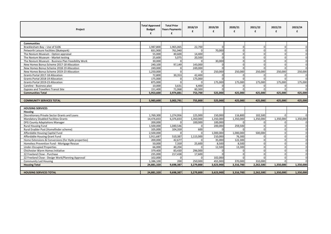| Project                                             | <b>Total Approved</b><br><b>Budget</b><br>£ | <b>Total Prior</b><br><b>Years Payments</b><br>£ | 2018/19<br>£ | 2019/20<br>£ | 2020/21<br>£ | 2021/22<br>£ | 2022/23<br>£ | 2023/24<br>£   |
|-----------------------------------------------------|---------------------------------------------|--------------------------------------------------|--------------|--------------|--------------|--------------|--------------|----------------|
|                                                     |                                             |                                                  |              |              |              |              |              |                |
| <b>Communities</b>                                  |                                             |                                                  |              |              |              |              |              |                |
| Bracklesham Bay - Use of \$106                      | 1,987,800                                   | 1,965,065                                        | 22,700       |              | n            | $\Omega$     |              | $\overline{0}$ |
| Petworth Leisure Facilities (Skatepark)             | 831,900                                     | 761,940                                          |              | 70,000       | $\Omega$     | $\Omega$     |              | $\Omega$       |
| The Novium Museum - Option appraisal                | 55,000                                      | 40,600                                           | 14,400       |              | $\Omega$     | O            |              | $\overline{0}$ |
| The Novium Museum - Market testing                  | 25,600                                      | 5,075                                            | 20,500       |              |              | O            |              | $\Omega$       |
| The Novium Museum - Business Plan Feasibility Work  | 30,000                                      |                                                  |              | 30,000       |              |              |              | $\overline{0}$ |
| New Homes Bonus Scheme 2017-18 Allocation           | 240,100                                     | 97,149                                           | 143,000      |              |              | n            |              | $\Omega$       |
| New Homes Bonus Scheme 2018-19 Allocation           | 249,000                                     |                                                  | 249,000      |              |              |              |              |                |
| New Homes Bonus Scheme 2019-23 Allocation           | 1,250,000                                   |                                                  |              | 250,000      | 250,000      | 250,000      | 250,000      | 250,000        |
| Grants Portal 2017-18 Allocation                    | 72,800                                      | 30,353                                           | 42,400       |              |              |              |              |                |
| Grants Portal 2018-19 Allocation                    | 175.000                                     |                                                  | 175,000      |              |              |              |              |                |
| Grants Portal 2019-23 Allocation                    | 875,000                                     |                                                  |              | 175,000      | 175,000      | 175,000      | 175,000      | 175,000        |
| Careline - Business plan                            | 10,000                                      | 3,631                                            | 6,400        | $\Omega$     |              | $\Omega$     |              |                |
| <b>Gypsies and Travellers Transit Site</b>          | 151,400                                     | 71,068                                           | 80,300       |              |              |              |              |                |
| <b>Communities Total</b>                            | 5,953,600                                   | 2,974,881                                        | 753,700      | 525,000      | 425,000      | 425,000      | 425,000      | 425,000        |
|                                                     |                                             |                                                  |              |              |              |              |              |                |
| <b>COMMUNITY SERVICES TOTAL</b>                     | 5,983,600                                   | 3,002,791                                        | 755,800      | 525,000      | 425,000      | 425,000      | 425,000      | 425,000        |
|                                                     |                                             |                                                  |              |              |              |              |              |                |
| <b>HOUSING SERVICES</b>                             |                                             |                                                  |              |              |              |              |              |                |
| <b>Housing</b>                                      |                                             |                                                  |              |              |              |              |              |                |
| Discretionary Private Sector Grants and Loans       | 1,769,300                                   | 1,274,956                                        | 125,000      | 150,000      | 116,800      | 102,500      |              |                |
| <b>Mandatory Disabled Facilities Grants</b>         | 14,476,833                                  | 6,376,833                                        | 1,350,000    | 1,350,000    | 1,350,000    | 1,350,000    | 1,350,000    | 1,350,000      |
| DFG County Adaptations Manager                      | 200,000                                     | $\cap$                                           | 100,000      | 100,000      |              |              |              | $\mathbf{0}$   |
| Rural Housing Fund                                  | 1,500,000                                   | 1,040,546                                        |              | 200,000      | 259,500      | $\Omega$     |              | $\Omega$       |
| Rural Enabler Post (Homefinder scheme)              | 105,000                                     | 104,359                                          | 600          |              |              |              |              | $\mathbf{O}$   |
| Affordable Housing Capital Fund                     | 2,500,000                                   |                                                  |              | 1,000,000    | 1,000,000    | 500,000      |              | $\overline{0}$ |
| Affordable Housing Grant Fund                       | 1,911,687                                   | 510,387                                          | 1,115,000    | 210.000      | 76,300       |              |              | $\overline{0}$ |
| Home Extensions & Conversions (for Hyde properties) | 200,000                                     | 42,677                                           |              | 35,000       | 122,300      |              |              | $\overline{0}$ |
| Homeless Prevention Fund - Mortgage Rescue          | 50,000                                      | 7,359                                            | 25,600       | 8,500        | 8,500        |              |              | $\mathbf{O}$   |
| <b>Under-Occupied Properties</b>                    | 66,000                                      | 40,204                                           |              | 12,500       | 13,300       | O            |              | $\Omega$       |
| Chichester Warm Homes Initiative                    | 379,400                                     | 83,430                                           | 296,000      |              |              | U            |              | $\Omega$       |
| 22 Freeland Close - Purchase                        | 235,000                                     | 217,438                                          | 17,600       |              |              |              |              |                |
| 22 Freeland Close - Design Work/Planning Approval   | 102,000                                     |                                                  |              | 102,000      |              |              |              | $\Omega$       |
| <b>Community Led Housing</b>                        | 1,386,100                                   | 200                                              | 250,000      | 455.900      | 370.000      | 310,000      |              |                |
| <b>Housing Total</b>                                | 24,881,320                                  | 9,698,387                                        | 3,279,800    | 3,623,900    | 3,316,700    | 2,262,500    | 1,350,000    | 1,350,000      |
|                                                     |                                             |                                                  |              |              |              |              |              |                |
| <b>HOUSING SERVICES TOTAL</b>                       | 24,881,320                                  | 9,698,387                                        | 3,279,800    | 3.623.900    | 3,316,700    | 2.262.500    | 1,350,000    | 1,350,000      |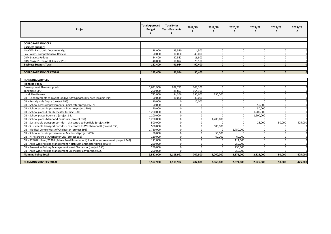| Project                                                                              | <b>Total Approved</b><br><b>Budget</b><br>£ | <b>Total Prior</b><br><b>Years Payments</b><br>f | 2018/19  | 2019/20<br>£ | 2020/21<br>£ | 2021/22<br>£ | 2022/23<br>£ | 2023/24  |
|--------------------------------------------------------------------------------------|---------------------------------------------|--------------------------------------------------|----------|--------------|--------------|--------------|--------------|----------|
|                                                                                      |                                             |                                                  |          |              |              |              |              |          |
| <b>CORPORATE SERVICES</b>                                                            |                                             |                                                  |          |              |              |              |              |          |
| <b>Business Support</b>                                                              |                                             |                                                  |          |              |              |              |              |          |
| NWOW - Electronic Document Mgt                                                       | 38.000                                      | 33,530                                           | 4.500    | $\Omega$     |              |              |              |          |
| Pay Policy - Comprehensive Review                                                    | 50,000                                      | 10,000                                           | 40,000   | $\Omega$     |              | $\Omega$     |              | $\Omega$ |
| CRM Stage 2 Rollout                                                                  | 54,400                                      | 37,582                                           | 16,800   | $\Omega$     |              | O            |              |          |
| CRM Stage 2 - Temp IT Analyst Post                                                   | 40,000                                      | 10,872                                           | 29,100   | $\Omega$     |              | U            |              |          |
| <b>Business Support Total</b>                                                        | 182,400                                     | 91.984                                           | 90,400   | $\Omega$     | $\Omega$     | n            |              |          |
|                                                                                      |                                             |                                                  |          |              |              | <sub>n</sub> |              |          |
| <b>CORPORATE SERVICES TOTAL</b>                                                      | 182,400                                     | 91,984                                           | 90,400   | $\Omega$     | $\Omega$     |              |              |          |
|                                                                                      |                                             |                                                  |          |              |              |              |              |          |
| <b>PLANNING SERVICES</b>                                                             |                                             |                                                  |          |              |              |              |              |          |
| <b>Planning Policy</b>                                                               |                                             |                                                  |          |              |              |              |              |          |
| Development Plan (Adopted)                                                           | 1,031,900                                   | 928,783                                          | 103,100  | $\Omega$     |              | $\Omega$     |              | $\Omega$ |
| Tangmere CPO                                                                         | 250.000                                     | 85,853                                           | 164.100  |              |              | $\Omega$     |              |          |
| <b>Local Plan Review</b>                                                             | 735,000                                     | 94,356                                           | 390,600  | 250,000      |              | $\Omega$     |              | $\Omega$ |
| CIL - Enhancements to Lavant Biodiversity Opportunity Area (project 194)             | 50,000                                      | 10,000                                           | 40,000   |              |              |              |              | $\Omega$ |
| CIL - Brandy Hole Copse (project 196)                                                | 10,000                                      |                                                  | 10,000   |              |              |              |              | $\Omega$ |
| CIL - School access improvements - Chichester (project 657)                          | 50,000                                      |                                                  |          |              |              | 50,000       |              | $\Omega$ |
| CIL - School access improvements - Bourne (project 660)                              | 50,000                                      |                                                  | $\Omega$ | $\Omega$     |              | 50,000       |              | $\Omega$ |
| CIL - School places E-W Chichester (project 330)                                     | 1.200.000                                   | $\sqrt{2}$                                       | $\Omega$ |              |              | 1,200,000    |              | $\Omega$ |
| CIL - School places Bourne's (project 331)                                           | 1,200,000                                   |                                                  |          |              |              | 1,200,000    |              |          |
| CIL - School places Manhood Peninsula (project 332)                                  | 1,200,000                                   |                                                  | $\Omega$ | 1,200,000    |              |              |              |          |
| CIL - Sustainable transport corridor - city centre to Portfield (project 656)        | 500,000                                     |                                                  |          |              |              | 25,000       | 50,000       | 425,000  |
| CIL - Sustainable transport corridor - city centre to Westhampnett (project 353)     | 500,000                                     |                                                  |          | 500,000      |              |              |              |          |
| CIL - Medical Centre West of Chichester (project 398)                                | 1,750,000                                   |                                                  |          |              | 1,750,000    |              |              |          |
| CIL - School access improvements - Manhood (project 659)                             | 50,000                                      |                                                  |          | 50.000       |              |              |              | $\Omega$ |
| CIL - RTPI screens at Chichester City (project 355)                                  | 120,000                                     |                                                  |          | 60,000       | 60.000       | n            |              | $\Omega$ |
| CIL - A286 Birdham/B2201 (Selsey Road Roundabout) Junction Improvement (project 349) | 111,000                                     |                                                  |          |              | 111,000      |              |              | $\Omega$ |
| CIL - Area-wide Parking Management North East Chichester (project 654)               | 250,000                                     |                                                  |          |              | 250,000      |              |              |          |
| CIL - Area-wide Parking Management West Chichester (project 655)                     | 250,000                                     |                                                  |          |              | 250,000      |              |              | $\Omega$ |
| CIL - Area-wide Parking Management Chichester City (project 665)                     | 250,000                                     |                                                  | $\Omega$ | $\Omega$     | 250,000      |              |              |          |
| <b>Planning Policy Total</b>                                                         | 9,557,900                                   | 1,118,992                                        | 707.800  | 2,060,000    | 2,671,000    | 2,525,000    | 50,000       | 425,000  |
|                                                                                      |                                             |                                                  |          |              |              |              |              |          |
| <b>PLANNING SERVICES TOTAL</b>                                                       | 9,557,900                                   | 1,118,992                                        | 707,800  | 2,060,000    | 2,671,000    | 2,525,000    | 50,000       | 425,000  |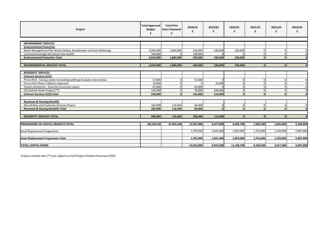| Project                                                                | <b>Total Approved</b><br><b>Budget</b><br>£ | <b>Total Prior</b><br><b>Years Payments</b> | 2018/19    | 2019/20<br>£ | 2020/21<br>£ | 2021/22<br>£ | 2022/23<br>£ | 2023/24      |
|------------------------------------------------------------------------|---------------------------------------------|---------------------------------------------|------------|--------------|--------------|--------------|--------------|--------------|
|                                                                        |                                             |                                             |            |              |              |              |              |              |
| <b>ENVIRONMENT SERVICES</b>                                            |                                             |                                             |            |              |              |              |              |              |
| <b>Environmental Protection</b>                                        |                                             |                                             |            |              |              |              |              |              |
| Beach Management Plan Works (Selsey, Bracklesham and East Wittering)   | 2,505,000                                   | 1,804,985                                   | 220,000    | 230,000      | 250,000      |              |              | $\Omega$     |
| Local land drainage East Beach Sea Outfall                             | 149,000                                     |                                             | 149,000    |              |              |              |              | $\Omega$     |
| <b>Environmental Protection Total</b>                                  | 2,654,000                                   | 1,804,985                                   | 369,000    | 230,000      | 250,000      | <sup>0</sup> |              | $\Omega$     |
|                                                                        |                                             |                                             |            |              |              |              |              |              |
| <b>ENVIRONMENTAL SERVICES TOTAL</b>                                    | 2,654,000                                   | 1,804,985                                   | 369,000    | 230,000      | 250,000      | $\mathbf{0}$ |              | $\mathbf{r}$ |
|                                                                        |                                             |                                             |            |              |              |              |              |              |
| <b>RESIDENTS' SERVICES</b>                                             |                                             |                                             |            |              |              |              |              |              |
| <b>Contract Services (CCS)</b>                                         |                                             |                                             |            |              |              |              |              |              |
| Priory Park - Various works to existing buildings & Coade stone statue | 57,000                                      |                                             | 57,000     | $\Omega$     |              |              |              | $\Omega$     |
| Priory Park Phase 2 Options Appraisal                                  | 10,000                                      |                                             |            | 10,000       |              |              |              |              |
| Closed cemeteries - Essential structural repairs                       | 65,000                                      |                                             | 65,000     |              |              |              |              |              |
| CCS Vehicle Wash Project (**)                                          | 126,000                                     |                                             | 20,000     | 106,000      |              |              |              | $\Omega$     |
| <b>Contract Services (CCS) Total</b>                                   | 258,000                                     |                                             | 142,000    | 116,000      | n            | n            |              |              |
|                                                                        |                                             |                                             |            |              |              |              |              |              |
| <b>Revenues &amp; Housing Benefits</b>                                 |                                             |                                             |            |              |              |              |              |              |
| Revs & Bens and Customer Services Project                              | 182,900                                     | 116,464                                     | 66,400     | $\Omega$     | U            | U            |              | $\Omega$     |
| <b>Revenues &amp; Housing Benefits Total</b>                           | 182,900                                     | 116,464                                     | 66,400     | $\mathbf{0}$ | $\Omega$     | <sup>0</sup> |              | $\mathbf{0}$ |
|                                                                        |                                             |                                             |            |              |              |              |              |              |
| <b>RESIDENTS' SERVICES TOTAL</b>                                       | 440,900                                     | 116,464                                     | 208,400    | 116,000      | $\Omega$     | $\Omega$     |              | $\Omega$     |
|                                                                        |                                             |                                             |            |              |              |              |              |              |
| PROGRAMME OF CAPITAL PROJECTS TOTAL                                    | 68,158,220                                  | 27,954,108                                  | 12,307,900 | 6,977,800    | 9,283,700    | 7,609,500    | 1,825,000    | 2,200,000    |
|                                                                        |                                             |                                             |            |              |              |              |              |              |
| Asset Replacement Programme                                            |                                             |                                             | 1,705,000  | 1,941,400    | 1,855,000    | 1,741,000    | 1,192,000    | 2,487,000    |
|                                                                        |                                             |                                             |            |              |              |              |              |              |
| <b>Asset Replacement Programme Total</b>                               |                                             |                                             | 1,705,000  | 1,941,400    | 1,855,000    | 1,741,000    | 1,192,000    | 2,487,000    |
|                                                                        |                                             |                                             |            |              |              |              |              |              |
| <b>TOTAL CAPITAL SPEND</b>                                             |                                             |                                             | 14,012,900 | 8,919,200    | 11,138,700   | 9,350,500    | 3,017,000    | 4,687,000    |

Projects marked with (\*\*) are subject to a full Project Initiation Document (PID)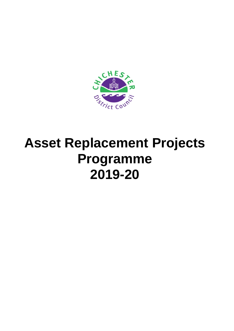<span id="page-35-0"></span>

## **Asset Replacement Projects Programme 2019-20**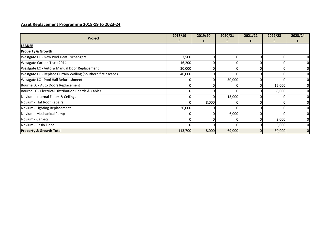| Project                                                      | 2018/19 | 2019/20 | 2020/21  | 2021/22 | 2022/23 | 2023/24  |
|--------------------------------------------------------------|---------|---------|----------|---------|---------|----------|
|                                                              |         |         |          |         |         |          |
| LEADER                                                       |         |         |          |         |         |          |
| <b>Property &amp; Growth</b>                                 |         |         |          |         |         |          |
| Westgate LC - New Pool Heat Exchangers                       | 7,500   |         |          |         |         |          |
| Westgate Carbon Trust 2014                                   | 16,200  |         | ი        |         | 0       |          |
| Westgate LC - Auto & Manual Door Replacement                 | 30,000  |         |          |         |         |          |
| Westgate LC - Replace Curtain Walling (Southern fire escape) | 40,000  |         |          |         |         |          |
| Westgate LC - Pool Hall Refurbishment                        |         |         | 50,000   |         | 0       |          |
| Bourne LC - Auto Doors Replacement                           |         |         | ΩI       | 0       | 16,000  | $\Omega$ |
| Bourne LC - Electrical Distribution Boards & Cables          | ΩI      |         | $\Omega$ |         | 8,000   | $\Omega$ |
| Novium - Internal Floors & Ceilings                          |         |         | 13,000   |         |         | $\Omega$ |
| Novium - Flat Roof Repairs                                   |         | 8,000   |          |         |         |          |
| Novium - Lighting Replacement                                | 20,000  |         |          |         |         |          |
| Novium - Mechanical Pumps                                    |         |         | 6,000    |         |         | 01       |
| Novium - Carpets                                             |         |         |          |         | 3,000   | 01       |
| Novium - Resin Floor                                         |         |         |          |         | 3,000   | $\Omega$ |
| <b>Property &amp; Growth Total</b>                           | 113,700 | 8,000   | 69,000   |         | 30,000  |          |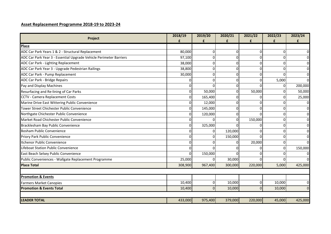| Project                                                            | 2018/19  | 2019/20  | 2020/21<br>£ | 2021/22<br>£ | 2022/23      | 2023/24        |
|--------------------------------------------------------------------|----------|----------|--------------|--------------|--------------|----------------|
| Place                                                              |          |          |              |              |              |                |
| ADC Car Park Years 1 & 2 - Structural Replacement                  | 80,000   | 0        | 0            | 0            | $\Omega$     | $\mathbf{0}$   |
| ADC Car Park Year 3 - Essential Upgrade Vehicle Perimeter Barriers | 97,100   | 0        | $\mathbf{0}$ | $\Omega$     | $\Omega$     | $\overline{0}$ |
| ADC Car Park - Lighting Replacement                                | 38,000   | 0        | 0            | $\Omega$     | $\Omega$     | $\overline{0}$ |
| ADC Car Park Year 3 - Upgrade Pedestrian Railings                  | 38,800   | N        | 0            | $\Omega$     | <sup>n</sup> | $\overline{0}$ |
| ADC Car Park - Pump Replacement                                    | 30,000   | 0        | 0            | $\Omega$     | <sup>n</sup> | $\overline{0}$ |
| ADC Car Park - Bridge Repairs                                      |          | U        | 0            | 0            | 5,000        | $\overline{0}$ |
| Pay and Display Machines                                           |          |          | $\Omega$     | U            | 01           | 200,000        |
| Resurfacing and Re-lining of Car Parks                             | n        | 50,000   | $\Omega$     | 50,000       | 0            | 50,000         |
| <b>CCTV - Camera Replacement Costs</b>                             |          | 165,400  | 0            | U            | $\Omega$     | 25,000         |
| Marine Drive East Wittering Public Convenience                     |          | 12,000   | 0            | $\Omega$     | $\Omega$     | $\overline{0}$ |
| Tower Street Chichester Public Convenience                         |          | 145,000  | $\Omega$     | $\Omega$     | $\Omega$     | $\overline{0}$ |
| Northgate Chichester Public Convenience                            |          | 120,000  | 0            | $\Omega$     | $\Omega$     | $\overline{0}$ |
| Market Road Chichester Public Convenience                          | ი        |          | 0            | 150,000      | $\Omega$     | $\overline{0}$ |
| Bracklesham Bay Public Convenience                                 | ŋ        | 325,000  | $\Omega$     | $\Omega$     | $\Omega$     | $\overline{0}$ |
| <b>Bosham Public Convenience</b>                                   |          | 01       | 120,000      | 0            | $\Omega$     | $\overline{0}$ |
| Priory Park Public Convenience                                     | በ        | n        | 150,000      | $\Omega$     | $\Omega$     | $\overline{0}$ |
| Itchenor Public Convenience                                        |          |          | 0            | 20,000       | $\Omega$     | $\overline{0}$ |
| Lifeboat Station Public Convenience                                | O        |          | 0            | $\Omega$     | $\Omega$     | 150,000        |
| East Beach Selsey Public Convenience                               | $\Omega$ | 150,000  | $\Omega$     | O            | 0            | $\Omega$       |
| Public Conveniences - Wallgate Replacement Programme               | 25,000   | $\Omega$ | 30,000       | $\Omega$     | 0            | $\Omega$       |
| <b>Place Total</b>                                                 | 308,900  | 967,400  | 300,000      | 220,000      | 5,000        | 425,000        |
| <b>Promotion &amp; Events</b>                                      |          |          |              |              |              |                |
| <b>Farmers Market Canopies</b>                                     | 10,400   | 0        | 10,000       | $\pmb{0}$    | 10,000       | $\mathbf 0$    |
| <b>Promotion &amp; Events Total</b>                                | 10,400   | $\Omega$ | 10,000       | $\Omega$     | 10,000       | $\overline{0}$ |
|                                                                    |          |          |              |              |              |                |
| <b>LEADER TOTAL</b>                                                | 433,000  | 975,400  | 379,000      | 220,000      | 45,000       | 425,000        |
|                                                                    |          |          |              |              |              |                |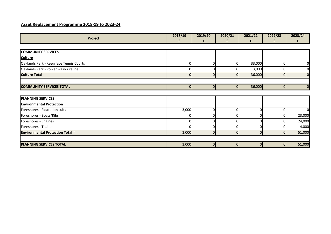| Project                                 | 2018/19<br>£ | 2019/20<br>£   | 2020/21<br>£   | 2021/22<br>£   | 2022/23<br>£   | 2023/24<br>£   |
|-----------------------------------------|--------------|----------------|----------------|----------------|----------------|----------------|
|                                         |              |                |                |                |                |                |
| <b>COMMUNITY SERVICES</b>               |              |                |                |                |                |                |
| <b>Culture</b>                          |              |                |                |                |                |                |
| Oaklands Park - Resurface Tennis Courts | 0            |                | 0              | 33,000         | $\Omega$       | $\overline{0}$ |
| Oaklands Park - Power wash / reline     |              |                | 0              | 3,000          | $\Omega$       | $\mathbf{0}$   |
| <b>Culture Total</b>                    | ΩI           | $\Omega$       | 0I             | 36,000         | $\Omega$       | $\Omega$       |
|                                         |              |                |                |                |                |                |
| <b>COMMUNITY SERVICES TOTAL</b>         | 0I           | $\overline{0}$ | $\overline{0}$ | 36,000         | $\Omega$       |                |
|                                         |              |                |                |                |                |                |
| <b>PLANNING SERVICES</b>                |              |                |                |                |                |                |
| <b>Environmental Protection</b>         |              |                |                |                |                |                |
| Foreshores - Floatation suits           | 3,000        | 0              | 0              | 0              | $\overline{0}$ | $\overline{0}$ |
| Foreshores - Boats/Ribs                 |              |                | 0              | O              | $\Omega$       | 23,000         |
| Foreshores - Engines                    | N            |                | 0              | O              | $\Omega$       | 24,000         |
| Foreshores - Trailers                   | ΩI           | O              | 0              | 0              | 0              | 4,000          |
| <b>Environmental Protection Total</b>   | 3,000        | 0              | 0I             | $\overline{0}$ | 0              | 51,000         |
|                                         |              |                |                |                |                |                |
| <b>PLANNING SERVICES TOTAL</b>          | 3,000        | $\overline{0}$ | $\overline{0}$ | 0              | 0              | 51,000         |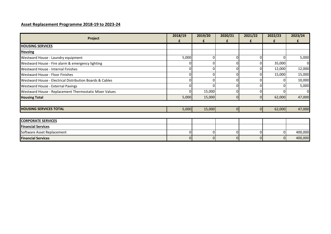| Project                                                  | 2018/19  | 2019/20 | 2020/21        | 2021/22        | 2022/23        | 2023/24 |
|----------------------------------------------------------|----------|---------|----------------|----------------|----------------|---------|
|                                                          | f        | £       | £              | £              | £              | f       |
| <b>HOUSING SERVICES</b>                                  |          |         |                |                |                |         |
| <b>Housing</b>                                           |          |         |                |                |                |         |
| Westward House - Laundry equipment                       | 5,000    |         | $\Omega$       | ŋ              | $\Omega$       | 5,000   |
| Westward House - Fire alarm & emergency lighting         |          |         | $\Omega$       | 0              | 35,000         | 0       |
| Westward House - Internal Finishes                       | ΩI       |         | 0              | 0              | 12,000         | 12,000  |
| Westward House - Floor Finishes                          |          |         | 0              |                | 15,000         | 15,000  |
| Westward House - Electrical Distribution Boards & Cables |          |         | 0              |                | 01             | 10,000  |
| Westward House - External Pavings                        |          |         | ΩI             |                |                | 5,000   |
| Westward House - Replacement Thermostatic Mixer Values   |          | 15,000  | 0              |                |                | 01      |
| <b>Housing Total</b>                                     | 5,000    | 15,000  | $\overline{0}$ | $\overline{0}$ | 62,000         | 47,000  |
| <b>HOUSING SERVICES TOTAL</b>                            | 5,000    | 15,000  | $\overline{0}$ | $\overline{0}$ | 62,000         | 47,000  |
| <b>CORPORATE SERVICES</b>                                |          |         |                |                |                |         |
|                                                          |          |         |                |                |                |         |
| <b>Financial Services</b>                                |          |         |                |                |                |         |
| Software Asset Replacement                               | ΩI       |         | 0              | 0              | $\Omega$       | 400,000 |
| <b>Financial Services</b>                                | $\Omega$ |         | $\Omega$       | 0              | $\overline{0}$ | 400,000 |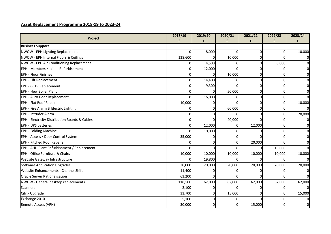| Project                                        | 2018/19<br>£ | 2019/20<br>£ | 2020/21<br>£ | 2021/22<br>£ | 2022/23<br>£ | 2023/24        |
|------------------------------------------------|--------------|--------------|--------------|--------------|--------------|----------------|
| <b>Business Support</b>                        |              |              |              |              |              |                |
| NWOW - EPH Lighting Replacement                | O.           | 8,000        | $\Omega$     | $\Omega$     | $\Omega$     | 10,000         |
| NWOW - EPH Internal Floors & Ceilings          | 138,600      |              | 10,000       | $\mathbf{0}$ | $\Omega$     | $\mathbf 0$    |
| NWOW - EPH Air Conditioning Replacement        | 0            | 4,500        | 0            | $\mathbf 0$  | 8,000        | $\overline{0}$ |
| EPH - Members Kitchen Refurbishment            | 0            | 12,000       | <sup>0</sup> | $\Omega$     |              | $\overline{0}$ |
| <b>EPH - Floor Finishes</b>                    | ŋ            |              | 10,000       | $\Omega$     | $\Omega$     | $\mathbf 0$    |
| EPH - Lift Replacement                         | 0            | 14,400       | $\Omega$     | $\Omega$     | $\Omega$     | $\mathbf 0$    |
| <b>EPH - CCTV Replacement</b>                  | ŋ            | 9,300        | $\Omega$     | $\mathbf{0}$ | $\Omega$     | $\overline{0}$ |
| <b>EPH - New Boiler Plant</b>                  |              |              | 50,000       | $\Omega$     | $\Omega$     | $\overline{0}$ |
| EPH - Auto Door Replacement                    | U            | 16,000       | 0            | $\Omega$     | $\Omega$     | $\overline{0}$ |
| <b>EPH - Flat Roof Repairs</b>                 | 10,000       |              | $\Omega$     | $\Omega$     | $\Omega$     | 10,000         |
| EPH - Fire Alarm & Electric Lighting           |              |              | 60,000       | $\Omega$     | $\Omega$     | $\Omega$       |
| <b>EPH - Intruder Alarm</b>                    | 0            |              | $\Omega$     | $\Omega$     | $\Omega$     | 20,000         |
| EPH - Electricity Distribution Boards & Cables | 0            |              | 40,000       |              | $\Omega$     | $\overline{0}$ |
| <b>EPH - UPS batteries</b>                     | 0            | 12,000       | $\Omega$     | 12,000       | $\Omega$     | $\overline{0}$ |
| <b>EPH - Folding Machine</b>                   | 0            | 10,000       | $\Omega$     |              | $\Omega$     | $\overline{0}$ |
| EPH - Access / Door Control System             | 35,000       |              | $\Omega$     |              | $\Omega$     | $\mathbf 0$    |
| <b>EPH - Pitched Roof Repairs</b>              | O.           |              | 0            | 20,000       | $\Omega$     | $\mathbf 0$    |
| EPH - AHU Plant Refurbishment / Replacement    |              |              | 0            |              | 15,000       | $\Omega$       |
| EPH - Office Furniture & Chairs                | 10,000       | 10,000       | 10,000       | 10,000       | 10,000       | 10,000         |
| Website Gateway Infrastructure                 | 0            | 19,800       | 0            | O            | $\Omega$     | $\Omega$       |
| <b>Software Application Upgrades</b>           | 20,000       | 20,000       | 20,000       | 20,000       | 20,000       | 20,000         |
| Website Enhancements - Channel Shift           | 11,400       |              | 0            |              | 0            | $\mathbf 0$    |
| <b>Oracle Server Rationalisation</b>           | 63,200       |              | 0            |              |              | $\Omega$       |
| NWOW - General desktop replacements            | 118,500      | 62,000       | 62,000       | 62,000       | 62,000       | 62,000         |
| <b>Scanners</b>                                | 2,100        |              | 0            | 0            | $\Omega$     | $\mathbf 0$    |
| Citrix Upgrade                                 | 33,700       |              | 15,000       | $\Omega$     | $\Omega$     | 15,000         |
| Exchange 2010                                  | 5,100        |              | 0            |              | $\Omega$     | $\overline{0}$ |
| Remote Access (VPN)                            | 30,000       | U            | $\mathbf{O}$ | 15,000       | $\Omega$     | $\overline{0}$ |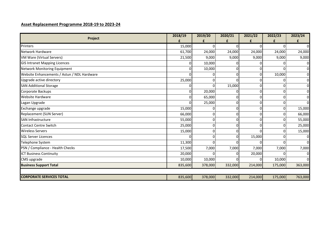| Project                                     | 2018/19 | 2019/20 | 2020/21 | 2021/22 | 2022/23        | 2023/24        |
|---------------------------------------------|---------|---------|---------|---------|----------------|----------------|
|                                             | £       | £       | £       | £       | £              | £              |
| Printers                                    | 15,000  |         |         |         |                | ΩI             |
| Network Hardware                            | 61,700  | 24,000  | 24,000  | 24,000  | 24,000         | 24,000         |
| VM Ware (Virtual Servers)                   | 21,500  | 9,000   | 9,000   | 9,000   | 9,000          | 9,000          |
| <b>GIS Intranet Mapping Licences</b>        |         | 10,000  |         |         |                | $\Omega$       |
| Network Monitoring Equipment                |         | 10,000  |         |         |                | $\overline{0}$ |
| Website Enhancements / Astun / NDL Hardware |         |         |         | 0       | 10,000         | $\overline{0}$ |
| Upgrade active directory                    | 25,000  |         |         |         |                | $\Omega$       |
| <b>SAN Additional Storage</b>               |         | O.      | 15,000  |         |                | $\Omega$       |
| Corporate Backups                           |         | 20,000  |         | O       |                | $\Omega$       |
| <b>Website Hardware</b>                     |         | 65,000  |         | 0       | $\Omega$       | $\Omega$       |
| Lagan Upgrade                               |         | 25,000  |         | 0       | $\Omega$       | $\Omega$       |
| Exchange upgrade                            | 15,000  | 01      |         | 0       | $\overline{0}$ | 15,000         |
| Replacement (SUN Server)                    | 66,000  | 0       |         | 0       | 0              | 66,000         |
| <b>SAN Infrastructure</b>                   | 55,000  | 0       |         |         |                | 55,000         |
| <b>Contact Centre Switch</b>                | 25,000  | 0       |         | O       | 0              | 25,000         |
| <b>Wireless Servers</b>                     | 15,000  | 0       |         |         |                | 15,000         |
| <b>SQL Server Licences</b>                  |         | 0       |         | 15,000  | n              | $\Omega$       |
| Telephone System                            | 11,300  |         |         |         |                | $\Omega$       |
| PSN / Compliance - Health Checks            | 17,500  | 7,000   | 7,000   | 7,000   | 7,000          | 7,000          |
| <b>ICT Business Continuity</b>              | 20,000  |         |         | 20,000  |                | <sup>0</sup>   |
| CMS upgrade                                 | 10,000  | 10,000  |         |         | 10,000         | $\Omega$       |
| <b>Business Support Total</b>               | 835,600 | 378,000 | 332,000 | 214,000 | 175,000        | 363,000        |
|                                             |         |         |         |         |                |                |
| <b>CORPORATE SERVICES TOTAL</b>             | 835,600 | 378,000 | 332,000 | 214,000 | 175,000        | 763,000        |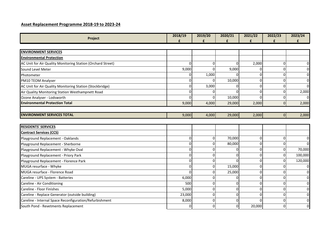| Project                                                     | 2018/19      | 2019/20     | 2020/21      | 2021/22      | 2022/23        | 2023/24        |
|-------------------------------------------------------------|--------------|-------------|--------------|--------------|----------------|----------------|
|                                                             | f            | f           | £            | £            |                |                |
|                                                             |              |             |              |              |                |                |
| <b>ENVIRONMENT SERVICES</b>                                 |              |             |              |              |                |                |
| <b>Environmental Protection</b>                             |              |             |              |              |                |                |
| AC Unit for Air Quality Monitoring Station (Orchard Street) | <sup>0</sup> | 0           | $\Omega$     | 2,000        | $\Omega$       | $\overline{0}$ |
| Sound Level Meter                                           | 9,000        |             | 9,000        |              | $\Omega$       | $\overline{0}$ |
| Photometer                                                  |              | 1,000       | U            | $\Omega$     | $\Omega$       | $\mathbf 0$    |
| PM10 TEOM Analyser                                          |              |             | 10,000       | $\Omega$     | $\Omega$       | $\overline{0}$ |
| AC Unit for Air Quality Monitoring Station (Stockbridge)    | O            | 3,000       | $\Omega$     | $\mathbf 0$  | $\Omega$       | $\overline{0}$ |
| Air Quality Monitoring Station Westhampnett Road            |              |             | U            | $\Omega$     | $\Omega$       | 2,000          |
| Ozone Analyser - Lodsworth                                  | n            | n           | 10,000       | $\Omega$     | $\Omega$       | $\Omega$       |
| <b>Environmental Protection Total</b>                       | 9,000        | 4,000       | 29,000       | 2,000        | $\overline{0}$ | 2,000          |
|                                                             |              |             |              |              |                |                |
| <b>ENVIRONMENT SERVICES TOTAL</b>                           | 9,000        | 4,000       | 29,000       | 2,000        | 0              | 2,000          |
| <b>RESIDENTS' SERVICES</b>                                  |              |             |              |              |                |                |
| <b>Contract Services (CCS)</b>                              |              |             |              |              |                |                |
| Playground Replacement - Oaklands                           | $\Omega$     | $\mathbf 0$ | 70,000       | $\mathbf 0$  | $\Omega$       | $\overline{0}$ |
| Playground Replacement - Sherborne                          |              |             | 80,000       | $\Omega$     | $\Omega$       | $\Omega$       |
| Playground Replacement - Whyke Oval                         | U            | ი           | $\Omega$     | $\Omega$     | $\Omega$       | 70,000         |
| Playground Replacement - Priory Park                        | U            | U           | $\Omega$     | $\Omega$     | $\overline{0}$ | 100,000        |
| Playground Replacement - Florence Park                      | O            | $\Omega$    | $\Omega$     | $\Omega$     | $\Omega$       | 120,000        |
| MUGA resurface - Whyke                                      | <sup>0</sup> | $\mathbf 0$ | 15,000       | $\mathbf{0}$ | $\Omega$       | $\overline{0}$ |
| MUGA resurface - Florence Road                              |              | 0           | 25,000       | $\mathbf{0}$ | $\Omega$       | $\mathbf 0$    |
| Careline - UPS System - Batteries                           | 6,000        |             | 0            | $\Omega$     | 0              | $\mathbf 0$    |
| Careline - Air Conditioning                                 | 500          | 0           | $\Omega$     | $\Omega$     | $\Omega$       | $\overline{0}$ |
| Careline - Floor Finishes                                   | 5,000        | $\Omega$    | $\mathbf{0}$ | $\mathbf{0}$ | $\Omega$       | $\overline{0}$ |
| Careline - Replace Generator (outside building)             | 23,000       | $\Omega$    | 0            | $\Omega$     | $\Omega$       | $\mathbf 0$    |
| Careline - Internal Space Reconfiguration/Refurbishment     | 8,000        | 0           | 0            |              | $\Omega$       | $\mathbf 0$    |
| South Pond - Revetments Replacement                         | 0            | 0           | 0            | 20,000       | $\Omega$       | $\overline{0}$ |